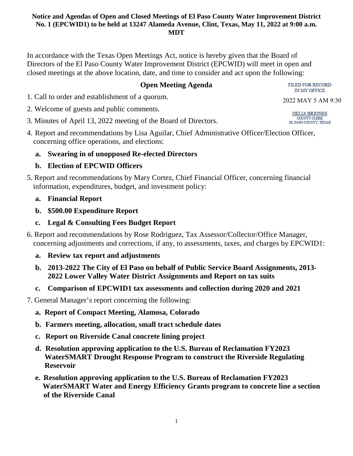In accordance with the Texas Open Meetings Act, notice is hereby given that the Board of Directors of the El Paso County Water Improvement District (EPCWID) will meet in open and closed meetings at the above location, date, and time to consider and act upon the following:

## **Open Meeting Agenda**

1. Call to order and establishment of a quorum.

- 2. Welcome of guests and public comments.
- 3. Minutes of April 13, 2022 meeting of the Board of Directors.
- 4. Report and recommendations by Lisa Aguilar, Chief Administrative Officer/Election Officer, concerning office operations, and elections:

# **a. Swearing in of unopposed Re-elected Directors**

# **b. Election of EPCWID Officers**

5. Report and recommendations by Mary Cortez, Chief Financial Officer, concerning financial information, expenditures, budget, and investment policy:

## **a. Financial Report**

- **b. \$500.00 Expenditure Report**
- **c. Legal & Consulting Fees Budget Report**
- 6. Report and recommendations by Rose Rodriguez, Tax Assessor/Collector/Office Manager, concerning adjustments and corrections, if any, to assessments, taxes, and charges by EPCWID1:
	- **a. Review tax report and adjustments**
	- **b. 2013-2022 The City of El Paso on behalf of Public Service Board Assignments, 2013- 2022 Lower Valley Water District Assignments and Report on tax suits**
	- **c. Comparison of EPCWID1 tax assessments and collection during 2020 and 2021**

7. General Manager's report concerning the following:

- **a. Report of Compact Meeting, Alamosa, Colorado**
- **b. Farmers meeting, allocation, small tract schedule dates**
- **c. Report on Riverside Canal concrete lining project**
- **d. Resolution approving application to the U.S. Bureau of Reclamation FY2023 WaterSMART Drought Response Program to construct the Riverside Regulating Reservoir**
- **e. Resolution approving application to the U.S. Bureau of Reclamation FY2023 WaterSMART Water and Energy Efficiency Grants program to concrete line a section of the Riverside Canal**

**FILED FOR RECORD**  $\hbox{IN\,MY}$  OFFICE

2022 MAY 5 AM 9:30

DELIA BRIONES COUNTY CLERK<br>EL PASO COUNTY, TEXAS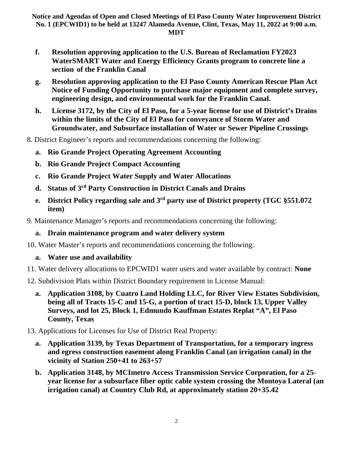- **f. Resolution approving application to the U.S. Bureau of Reclamation FY2023 WaterSMART Water and Energy Efficiency Grants program to concrete line a section of the Franklin Canal**
- **g. Resolution approving application to the El Paso County American Rescue Plan Act Notice of Funding Opportunity to purchase major equipment and complete survey, engineering design, and environmental work for the Franklin Canal.**
- **h. License 3172, by the City of El Paso, for a 5-year license for use of District's Drains within the limits of the City of El Paso for conveyance of Storm Water and Groundwater, and Subsurface installation of Water or Sewer Pipeline Crossings**
- 8. District Engineer's reports and recommendations concerning the following:
	- **a. Rio Grande Project Operating Agreement Accounting**
	- **b. Rio Grande Project Compact Accounting**
	- **c. Rio Grande Project Water Supply and Water Allocations**
	- **d. Status of 3rd Party Construction in District Canals and Drains**
	- **e. District Policy regarding sale and 3rd party use of District property (TGC §551.072 item)**
- 9. Maintenance Manager's reports and recommendations concerning the following:

### **a. Drain maintenance program and water delivery system**

10. Water Master's reports and recommendations concerning the following:

# **a. Water use and availability**

- 11. Water delivery allocations to EPCWID1 water users and water available by contract: **None**
- 12. Subdivision Plats within District Boundary requirement in License Manual:
	- **a. Application 3108, by Cuatro Land Holding LLC, for River View Estates Subdivision, being all of Tracts 15-C and 15-G, a portion of tract 15-D, block 13, Upper Valley Surveys, and lot 25, Block 1, Edmundo Kauffman Estates Replat "A", El Paso County, Texas**
- 13. Applications for Licenses for Use of District Real Property:
	- **a. Application 3139, by Texas Department of Transportation, for a temporary ingress and egress construction easement along Franklin Canal (an irrigation canal) in the vicinity of Station 250+41 to 263+57**
	- **b. Application 3148, by MCImetro Access Transmission Service Corporation, for a 25 year license for a subsurface fiber optic cable system crossing the Montoya Lateral (an irrigation canal) at Country Club Rd, at approximately station 20+35.42**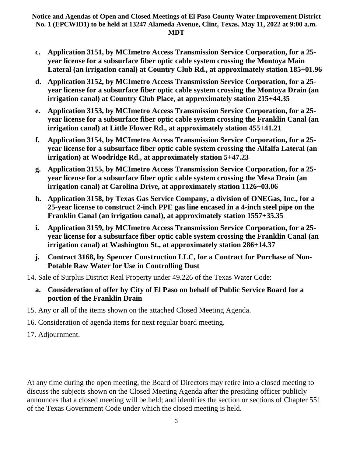- **c. Application 3151, by MCImetro Access Transmission Service Corporation, for a 25 year license for a subsurface fiber optic cable system crossing the Montoya Main Lateral (an irrigation canal) at Country Club Rd., at approximately station 185+01.96**
- **d. Application 3152, by MCImetro Access Transmission Service Corporation, for a 25 year license for a subsurface fiber optic cable system crossing the Montoya Drain (an irrigation canal) at Country Club Place, at approximately station 215+44.35**
- **e. Application 3153, by MCImetro Access Transmission Service Corporation, for a 25 year license for a subsurface fiber optic cable system crossing the Franklin Canal (an irrigation canal) at Little Flower Rd., at approximately station 455+41.21**
- **f. Application 3154, by MCImetro Access Transmission Service Corporation, for a 25 year license for a subsurface fiber optic cable system crossing the Alfalfa Lateral (an irrigation) at Woodridge Rd., at approximately station 5+47.23**
- **g. Application 3155, by MCImetro Access Transmission Service Corporation, for a 25 year license for a subsurface fiber optic cable system crossing the Mesa Drain (an irrigation canal) at Carolina Drive, at approximately station 1126+03.06**
- **h. Application 3158, by Texas Gas Service Company, a division of ONEGas, Inc., for a 25-year license to construct 2-inch PPE gas line encased in a 4-inch steel pipe on the Franklin Canal (an irrigation canal), at approximately station 1557+35.35**
- **i. Application 3159, by MCImetro Access Transmission Service Corporation, for a 25 year license for a subsurface fiber optic cable system crossing the Franklin Canal (an irrigation canal) at Washington St., at approximately station 286+14.37**
- **j. Contract 3168, by Spencer Construction LLC, for a Contract for Purchase of Non-Potable Raw Water for Use in Controlling Dust**
- 14. Sale of Surplus District Real Property under 49.226 of the Texas Water Code:
	- **a. Consideration of offer by City of El Paso on behalf of Public Service Board for a portion of the Franklin Drain**
- 15. Any or all of the items shown on the attached Closed Meeting Agenda.
- 16. Consideration of agenda items for next regular board meeting.
- 17. Adjournment.

At any time during the open meeting, the Board of Directors may retire into a closed meeting to discuss the subjects shown on the Closed Meeting Agenda after the presiding officer publicly announces that a closed meeting will be held; and identifies the section or sections of Chapter 551 of the Texas Government Code under which the closed meeting is held.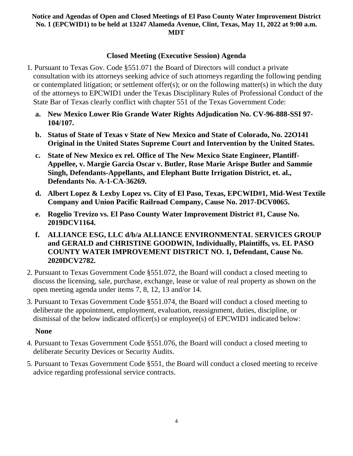### **Closed Meeting (Executive Session) Agenda**

- 1. Pursuant to Texas Gov. Code §551.071 the Board of Directors will conduct a private consultation with its attorneys seeking advice of such attorneys regarding the following pending or contemplated litigation; or settlement offer(s); or on the following matter(s) in which the duty of the attorneys to EPCWID1 under the Texas Disciplinary Rules of Professional Conduct of the State Bar of Texas clearly conflict with chapter 551 of the Texas Government Code:
	- **a. New Mexico Lower Rio Grande Water Rights Adjudication No. CV-96-888-SSI 97- 104/107.**
	- **b. Status of State of Texas v State of New Mexico and State of Colorado, No. 22O141 Original in the United States Supreme Court and Intervention by the United States.**
	- **c. State of New Mexico ex rel. Office of The New Mexico State Engineer, Plantiff-Appellee, v. Margie Garcia Oscar v. Butler, Rose Marie Arispe Butler and Sammie Singh, Defendants-Appellants, and Elephant Butte Irrigation District, et. al., Defendants No. A-1-CA-36269.**
	- **d. Albert Lopez & Lexby Lopez vs. City of El Paso, Texas, EPCWID#1, Mid-West Textile Company and Union Pacific Railroad Company, Cause No. 2017-DCV0065.**
	- **e. Rogelio Trevizo vs. El Paso County Water Improvement District #1, Cause No. 2019DCV1164.**
	- **f. ALLIANCE ESG, LLC d/b/a ALLIANCE ENVIRONMENTAL SERVICES GROUP and GERALD and CHRISTINE GOODWIN, Individually, Plaintiffs, vs. EL PASO COUNTY WATER IMPROVEMENT DISTRICT NO. 1, Defendant, Cause No. 2020DCV2782.**
- 2. Pursuant to Texas Government Code §551.072, the Board will conduct a closed meeting to discuss the licensing, sale, purchase, exchange, lease or value of real property as shown on the open meeting agenda under items 7, 8, 12, 13 and/or 14.
- 3. Pursuant to Texas Government Code §551.074, the Board will conduct a closed meeting to deliberate the appointment, employment, evaluation, reassignment, duties, discipline, or dismissal of the below indicated officer(s) or employee(s) of EPCWID1 indicated below:

### **None**

- 4. Pursuant to Texas Government Code §551.076, the Board will conduct a closed meeting to deliberate Security Devices or Security Audits.
- 5. Pursuant to Texas Government Code §551, the Board will conduct a closed meeting to receive advice regarding professional service contracts.